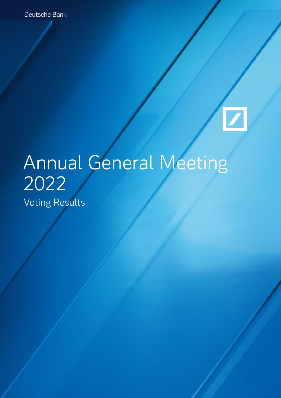Deutsche Bank

## $\boxed{\phantom{1}}$

## Annual General Meeting 2022 Voting Results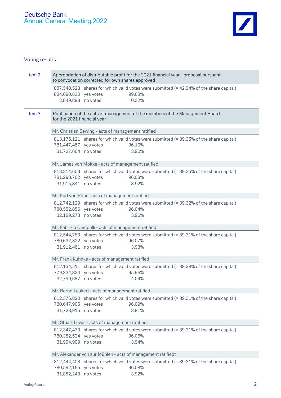

## Voting results

| Item <sub>2</sub> | Appropriation of distributable profit for the 2021 financial year - proposal pursuant<br>to convocation corrected for own shares approved |                                                    |                 |                                                                                         |  |
|-------------------|-------------------------------------------------------------------------------------------------------------------------------------------|----------------------------------------------------|-----------------|-----------------------------------------------------------------------------------------|--|
|                   | 884,690,630 yes votes<br>2,849,898 no votes                                                                                               |                                                    | 99.68%<br>0.32% | 887,540,528 shares for which valid votes were submitted (= 42.94% of the share capital) |  |
| Item <sub>3</sub> | Ratification of the acts of management of the members of the Management Board<br>for the 2021 financial year                              |                                                    |                 |                                                                                         |  |
|                   |                                                                                                                                           | Mr. Christian Sewing - acts of management ratified |                 |                                                                                         |  |
|                   | 781,447,457 yes votes<br>31,727,664 no votes                                                                                              |                                                    | 96.10%<br>3.90% | 813,175,121 shares for which valid votes were submitted (= 39.35% of the share capital) |  |
|                   |                                                                                                                                           | Mr. James von Moltke - acts of management ratified |                 |                                                                                         |  |
|                   | 781,298,762 yes votes<br>31,915,841 no votes                                                                                              |                                                    | 96.08%<br>3.92% | 813,214,603 shares for which valid votes were submitted (= 39.35% of the share capital) |  |
|                   |                                                                                                                                           | Mr. Karl von Rohr - acts of management ratified    |                 |                                                                                         |  |
|                   | 780,552,856 yes votes<br>32,189,273 no votes                                                                                              |                                                    | 96.04%<br>3.96% | 812,742,129 shares for which valid votes were submitted (= 39.32% of the share capital) |  |
|                   | Mr. Fabrizio Campelli - acts of management ratified                                                                                       |                                                    |                 |                                                                                         |  |
|                   | 780,632,322 yes votes<br>31,912,461 no votes                                                                                              |                                                    | 96.07%<br>3.93% | 812,544,783 shares for which valid votes were submitted (= 39.31% of the share capital) |  |
|                   | Mr. Frank Kuhnke - acts of management ratified                                                                                            |                                                    |                 |                                                                                         |  |
|                   | 779,334,824 yes votes<br>32,799,687 no votes                                                                                              |                                                    | 95.96%<br>4.04% | 812,134,511 shares for which valid votes were submitted (= 39.29% of the share capital) |  |
|                   |                                                                                                                                           | Mr. Bernd Leukert - acts of management ratified    |                 |                                                                                         |  |
|                   | 780,647,905 yes votes<br>31,728,915 no votes                                                                                              |                                                    | 96.09%<br>3.91% | 812,376,820 shares for which valid votes were submitted (= 39.31% of the share capital) |  |
|                   | Mr. Stuart Lewis - acts of management ratified                                                                                            |                                                    |                 |                                                                                         |  |
|                   | 780,352,524 yes votes<br>31,994,909 no votes                                                                                              |                                                    | 96.06%<br>3.94% | 812,347,433 shares for which valid votes were submitted (= 39.31% of the share capital) |  |
|                   | Mr. Alexander von zur Mühlen - acts of management ratifiedt                                                                               |                                                    |                 |                                                                                         |  |
|                   | 780,592,165 yes votes<br>31,852,243 no votes                                                                                              |                                                    | 96.08%<br>3.92% | 812,444,408 shares for which valid votes were submitted (= 39.31% of the share capital) |  |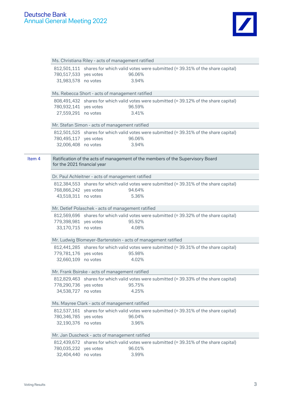## Deutsche Bank Annual General Meeting 2022



|        |                                                               | Ms. Christiana Riley - acts of management ratified                                      |  |  |  |  |
|--------|---------------------------------------------------------------|-----------------------------------------------------------------------------------------|--|--|--|--|
|        |                                                               | 812,501,111 shares for which valid votes were submitted (= 39.31% of the share capital) |  |  |  |  |
|        | 780,517,533 yes votes                                         | 96.06%                                                                                  |  |  |  |  |
|        | 31,983,578 no votes                                           | 3.94%                                                                                   |  |  |  |  |
|        |                                                               |                                                                                         |  |  |  |  |
|        |                                                               | Ms. Rebecca Short - acts of management ratified                                         |  |  |  |  |
|        |                                                               | 808,491,432 shares for which valid votes were submitted (= 39.12% of the share capital) |  |  |  |  |
|        | 780,932,141 yes votes                                         | 96.59%                                                                                  |  |  |  |  |
|        | 27,559,291 no votes                                           | 3.41%                                                                                   |  |  |  |  |
|        |                                                               | Mr. Stefan Simon - acts of management ratified                                          |  |  |  |  |
|        |                                                               | 812,501,525 shares for which valid votes were submitted (= 39.31% of the share capital) |  |  |  |  |
|        | 780,495,117 yes votes                                         | 96.06%                                                                                  |  |  |  |  |
|        | 32,006,408 no votes                                           | 3.94%                                                                                   |  |  |  |  |
|        |                                                               |                                                                                         |  |  |  |  |
| Item 4 | for the 2021 financial year                                   | Ratification of the acts of management of the members of the Supervisory Board          |  |  |  |  |
|        |                                                               |                                                                                         |  |  |  |  |
|        |                                                               | Dr. Paul Achleitner - acts of management ratified                                       |  |  |  |  |
|        |                                                               | 812,384,553 shares for which valid votes were submitted (= 39.31% of the share capital) |  |  |  |  |
|        | 768,866,242 yes votes                                         | 94.64%                                                                                  |  |  |  |  |
|        | 43,518,311 no votes                                           | 5.36%                                                                                   |  |  |  |  |
|        |                                                               |                                                                                         |  |  |  |  |
|        | Mr. Detlef Polaschek - acts of management ratified            |                                                                                         |  |  |  |  |
|        |                                                               | 812,569,696 shares for which valid votes were submitted (= 39.32% of the share capital) |  |  |  |  |
|        | 779,398,981 yes votes                                         | 95.92%                                                                                  |  |  |  |  |
|        | 33,170,715 no votes                                           | 4.08%                                                                                   |  |  |  |  |
|        | Mr. Ludwig Blomeyer-Bartenstein - acts of management ratified |                                                                                         |  |  |  |  |
|        |                                                               | 812,441,285 shares for which valid votes were submitted (= 39.31% of the share capital) |  |  |  |  |
|        | 779,781,176 yes votes                                         | 95.98%                                                                                  |  |  |  |  |
|        | 32,660,109 no votes                                           | 4.02%                                                                                   |  |  |  |  |
|        |                                                               |                                                                                         |  |  |  |  |
|        |                                                               | Mr. Frank Bsirske - acts of management ratified                                         |  |  |  |  |
|        | 812,829,463                                                   | shares for which valid votes were submitted (= 39.33% of the share capital)             |  |  |  |  |
|        | 778,290,736                                                   | 95.75%<br>yes votes                                                                     |  |  |  |  |
|        | 34,538,727                                                    | 4.25%<br>no votes                                                                       |  |  |  |  |
|        |                                                               | Ms. Mayree Clark - acts of management ratified                                          |  |  |  |  |
|        |                                                               | 812,537,161 shares for which valid votes were submitted (= 39.31% of the share capital) |  |  |  |  |
|        | 780,346,785 yes votes                                         | 96.04%                                                                                  |  |  |  |  |
|        | 32,190,376 no votes                                           | 3.96%                                                                                   |  |  |  |  |
|        |                                                               |                                                                                         |  |  |  |  |
|        |                                                               | Mr. Jan Duscheck - acts of management ratified                                          |  |  |  |  |
|        |                                                               | 812,439,672 shares for which valid votes were submitted (= 39.31% of the share capital) |  |  |  |  |
|        | 780,035,232 yes votes                                         | 96.01%                                                                                  |  |  |  |  |
|        | 32,404,440                                                    | 3.99%<br>no votes                                                                       |  |  |  |  |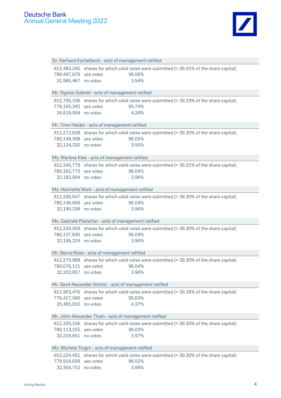

| Dr. Gerhard Eschelbeck - acts of management ratified |                                                         |                                                                                         |  |
|------------------------------------------------------|---------------------------------------------------------|-----------------------------------------------------------------------------------------|--|
|                                                      |                                                         | 812,483,345 shares for which valid votes were submitted (= 39.31% of the share capital) |  |
| 780,497,878 yes votes                                |                                                         | 96.06%                                                                                  |  |
| 31,985,467 no votes                                  |                                                         | 3.94%                                                                                   |  |
|                                                      |                                                         |                                                                                         |  |
|                                                      | Mr. Sigmar Gabriel - acts of management ratified        |                                                                                         |  |
|                                                      |                                                         | 812,785,336 shares for which valid votes were submitted (= 39.33% of the share capital) |  |
| 778,165,342 yes votes                                |                                                         | 95.74%                                                                                  |  |
| 34,619,994 no votes                                  |                                                         | 4.26%                                                                                   |  |
|                                                      | Mr. Timo Heider - acts of management ratified           |                                                                                         |  |
|                                                      |                                                         | 812,272,638 shares for which valid votes were submitted (= 39.30% of the share capital) |  |
| 780,148,308 yes votes                                |                                                         | 96.05%                                                                                  |  |
| 32,124,330 no votes                                  |                                                         | 3.95%                                                                                   |  |
|                                                      |                                                         |                                                                                         |  |
|                                                      | Ms. Martina Klee - acts of management ratified          |                                                                                         |  |
|                                                      |                                                         | 812,345,779 shares for which valid votes were submitted (= 39.31% of the share capital) |  |
| 780,162,775 yes votes                                |                                                         | 96.04%                                                                                  |  |
| 32,183,004 no votes                                  |                                                         | 3.96%                                                                                   |  |
|                                                      |                                                         |                                                                                         |  |
|                                                      | Ms. Henriette Mark - acts of management ratified        |                                                                                         |  |
|                                                      |                                                         | 812,336,947 shares for which valid votes were submitted (= 39.30% of the share capital) |  |
| 780,146,609 yes votes                                |                                                         | 96.04%                                                                                  |  |
| 32,190,338 no votes                                  |                                                         | 3.96%                                                                                   |  |
|                                                      | Ms. Gabriele Platscher - acts of management ratified    |                                                                                         |  |
|                                                      |                                                         | 812,334,069 shares for which valid votes were submitted (= 39.30% of the share capital) |  |
|                                                      |                                                         |                                                                                         |  |
| 780,137,845 yes votes                                |                                                         | 96.04%                                                                                  |  |
| 32,196,224 no votes                                  |                                                         | 3.96%                                                                                   |  |
|                                                      |                                                         |                                                                                         |  |
|                                                      | Mr. Bernd Rose - acts of management ratified            |                                                                                         |  |
|                                                      |                                                         | 812,279,968 shares for which valid votes were submitted (= 39.30% of the share capital) |  |
| 780,076,111 yes votes                                |                                                         | 96.04%                                                                                  |  |
| 32,203,857 no votes                                  |                                                         | 3.96%                                                                                   |  |
|                                                      | Mr. Gerd Alexander Schütz - acts of management ratified |                                                                                         |  |
|                                                      |                                                         | 811,903,476 shares for which valid votes were submitted (= 39.28% of the share capital) |  |
| 776,417,566 yes votes                                |                                                         | 95.63%                                                                                  |  |
| 35,485,910                                           | no votes                                                | 4.37%                                                                                   |  |
|                                                      |                                                         |                                                                                         |  |
|                                                      | Mr. John Alexander Thain - acts of management ratified  |                                                                                         |  |
|                                                      |                                                         | 812,333,106 shares for which valid votes were submitted (= 39.30% of the share capital) |  |
| 780,113,255 yes votes                                |                                                         | 96.03%                                                                                  |  |
| 32,219,851 no votes                                  |                                                         | 3.97%                                                                                   |  |
|                                                      | Ms. Michele Trogni - acts of management ratified        |                                                                                         |  |
| 812,224,451                                          |                                                         | shares for which valid votes were submitted (= 39.30% of the share capital)             |  |
| 779,919,699                                          | yes votes                                               | 96.02%                                                                                  |  |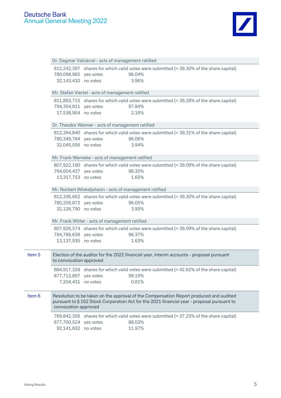

|        | Dr. Dagmar Valcárcel - acts of management ratified                                                                                                                                                          |                                                                                           |                  |  |  |  |
|--------|-------------------------------------------------------------------------------------------------------------------------------------------------------------------------------------------------------------|-------------------------------------------------------------------------------------------|------------------|--|--|--|
|        | 780,098,965 yes votes<br>32,143,432 no votes                                                                                                                                                                | 812,242,397 shares for which valid votes were submitted (= 39.30% of the share capital)   | 96.04%<br>3.96%  |  |  |  |
|        |                                                                                                                                                                                                             | Mr. Stefan Viertel - acts of management ratified                                          |                  |  |  |  |
|        | 794,354,811 yes votes<br>17,538,904 no votes                                                                                                                                                                | 811,893,715 shares for which valid votes were submitted (= 39.28% of the share capital)   | 97.84%<br>2.16%  |  |  |  |
|        | Dr. Theodor Weimer - acts of management ratified                                                                                                                                                            |                                                                                           |                  |  |  |  |
|        | 780,349,784 yes votes<br>32,045,056 no votes                                                                                                                                                                | 812,394,840 shares for which valid votes were submitted (= 39.31% of the share capital)   | 96.06%<br>3.94%  |  |  |  |
|        |                                                                                                                                                                                                             | Mr. Frank Werneke - acts of management ratified                                           |                  |  |  |  |
|        | 794,604,437 yes votes<br>13,317,753 no votes                                                                                                                                                                | 807,922,190 shares for which valid votes were submitted (= 39.09% of the share capital)   | 98.35%<br>1.65%  |  |  |  |
|        | Mr. Norbert Winkeljohann - acts of management ratified                                                                                                                                                      |                                                                                           |                  |  |  |  |
|        | 780,209,872 yes votes<br>32,126,790 no votes                                                                                                                                                                | 812,336,662 shares for which valid votes were submitted (= 39.30% of the share capital)   | 96.05%<br>3.95%  |  |  |  |
|        |                                                                                                                                                                                                             | Mr. Frank Witter - acts of management ratified                                            |                  |  |  |  |
|        | 794,788,639 yes votes<br>13,137,935 no votes                                                                                                                                                                | 807,926,574 shares for which valid votes were submitted (= 39.09% of the share capital)   | 98.37%<br>1.63%  |  |  |  |
| Item 5 | to convocation approved                                                                                                                                                                                     | Election of the auditor for the 2022 financial year, interim accounts - proposal pursuant |                  |  |  |  |
|        | 877,712,897 yes votes<br>7,204,431 no votes                                                                                                                                                                 | 884,917,328 shares for which valid votes were submitted (= 42.82% of the share capital)   | 99.19%<br>0.81%  |  |  |  |
| Item 6 | Resolution to be taken on the approval of the Compensation Report produced and audited<br>pursuant to §162 Stock Corporation Act for the 2021 financial year - proposal pursuant to<br>convocation approved |                                                                                           |                  |  |  |  |
|        | 677,700,524 yes votes<br>92,141,832 no votes                                                                                                                                                                | 769,842,356 shares for which valid votes were submitted (= 37.25% of the share capital)   | 88.03%<br>11.97% |  |  |  |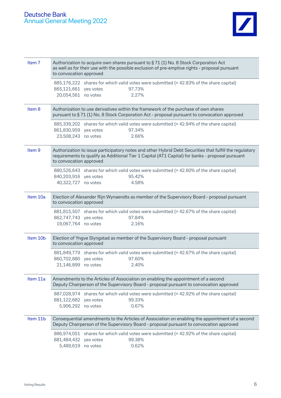

| Item <sub>7</sub> | Authorization to acquire own shares pursuant to § 71 (1) No. 8 Stock Corporation Act<br>as well as for their use with the possible exclusion of pre-emptive rights - proposal pursuant<br>to convocation approved                      |  |  |  |  |
|-------------------|----------------------------------------------------------------------------------------------------------------------------------------------------------------------------------------------------------------------------------------|--|--|--|--|
|                   | 885,176,222 shares for which valid votes were submitted (= 42.83% of the share capital)<br>865,121,661 yes votes<br>97.73%<br>2.27%<br>20,054,561 no votes                                                                             |  |  |  |  |
| Item 8            | Authorization to use derivatives within the framework of the purchase of own shares<br>pursuant to §71 (1) No. 8 Stock Corporation Act - proposal pursuant to convocation approved                                                     |  |  |  |  |
|                   | 885,339,202 shares for which valid votes were submitted (= 42.84% of the share capital)<br>97.34%<br>861,830,959 yes votes<br>23,508,243 no votes<br>2.66%                                                                             |  |  |  |  |
| Item <sub>9</sub> | Authorization to issue participatory notes and other Hybrid Debt Securities that fulfill the regulatory<br>requirements to qualify as Additional Tier 1 Capital (AT1 Capital) for banks - proposal pursuant<br>to convocation approved |  |  |  |  |
|                   | 880,526,643 shares for which valid votes were submitted (= 42.60% of the share capital)<br>840,203,916 yes votes<br>95.42%<br>40,322,727<br>4.58%<br>no votes                                                                          |  |  |  |  |
| Item 10a          | Election of Alexander Rijn Wynaendts as member of the Supervisory Board - proposal pursuant<br>to convocation approved                                                                                                                 |  |  |  |  |
|                   | 881,815,507 shares for which valid votes were submitted (= 42.67% of the share capital)<br>862,747,743 yes votes<br>97.84%<br>19,067,764 no votes<br>2.16%                                                                             |  |  |  |  |
| Item 10b          | Election of Yngve Slyngstad as member of the Supervisory Board - proposal pursuant<br>to convocation approved                                                                                                                          |  |  |  |  |
|                   | 881,849,779 shares for which valid votes were submitted (= 42.67% of the share capital)<br>860,702,880 yes votes<br>97.60%<br>21,146,899 no votes<br>2.40%                                                                             |  |  |  |  |
| Item 11a          | Amendments to the Articles of Association on enabling the appointment of a second<br>Deputy Chairperson of the Supervisory Board - proposal pursuant to convocation approved                                                           |  |  |  |  |
|                   | shares for which valid votes were submitted (= 42.92% of the share capital)<br>887,028,974<br>99.33%<br>881,122,682<br>yes votes<br>5,906,292 no votes<br>0.67%                                                                        |  |  |  |  |
| Item 11b          | Consequential amendments to the Articles of Association on enabling the appointment of a second<br>Deputy Chairperson of the Supervisory Board - proposal pursuant to convocation approved                                             |  |  |  |  |
|                   | shares for which valid votes were submitted (= 42.92% of the share capital)<br>886,974,051<br>881,484,432<br>99.38%<br>yes votes<br>5,489,619 no votes<br>0.62%                                                                        |  |  |  |  |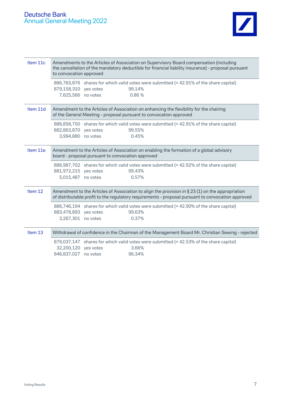

| Item 11c | Amendments to the Articles of Association on Supervisory Board compensation (including<br>the cancellation of the mandatory deductible for financial liability insurance) - proposal pursuant<br>to convocation approved |  |  |  |
|----------|--------------------------------------------------------------------------------------------------------------------------------------------------------------------------------------------------------------------------|--|--|--|
|          | 886,783,876 shares for which valid votes were submitted (= 42.91% of the share capital)<br>879,158,310 yes votes<br>99.14%<br>7,625,566 no votes<br>0.86%                                                                |  |  |  |
| Item 11d | Amendment to the Articles of Association on enhancing the flexibility for the chairing<br>of the General Meeting - proposal pursuant to convocation approved                                                             |  |  |  |
|          | 886,858,750 shares for which valid votes were submitted (= 42.91% of the share capital)<br>882,863,870 yes votes<br>99.55%<br>3,994,880 no votes<br>0.45%                                                                |  |  |  |
| Item 11e | Amendment to the Articles of Association on enabling the formation of a global advisory<br>board - proposal pursuant to convocation approved                                                                             |  |  |  |
|          | 886,987,702 shares for which valid votes were submitted (= 42.92% of the share capital)<br>881,972,215 yes votes<br>99.43%<br>5,015,487<br>0.57%<br>no votes                                                             |  |  |  |
| Item 12  | Amendment to the Articles of Association to align the provision in $\S 23(1)$ on the appropriation<br>of distributable profit to the regulatory requirements - proposal pursuant to convocation approved                 |  |  |  |
|          | 886,746,194 shares for which valid votes were submitted (= 42.90% of the share capital)<br>99.63%<br>883,478,893 yes votes<br>3,267,301<br>0.37%<br>no votes                                                             |  |  |  |
| Item 13  | Withdrawal of confidence in the Chairman of the Management Board Mr. Christian Sewing - rejected                                                                                                                         |  |  |  |
|          | shares for which valid votes were submitted (= 42.53% of the share capital)<br>879,037,147<br>32,200,120 yes votes<br>3.66%<br>846,837,027 no votes<br>96.34%                                                            |  |  |  |